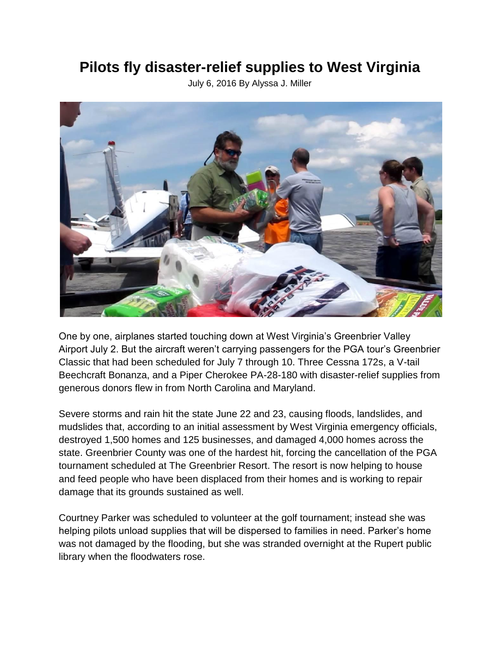## **Pilots fly disaster-relief supplies to West Virginia**

July 6, 2016 By Alyssa J. Miller



One by one, airplanes started touching down at West Virginia's Greenbrier Valley Airport July 2. But the aircraft weren't carrying passengers for the PGA tour's Greenbrier Classic that had been scheduled for July 7 through 10. Three Cessna 172s, a V-tail Beechcraft Bonanza, and a Piper Cherokee PA-28-180 with disaster-relief supplies from generous donors flew in from North Carolina and Maryland.

Severe storms and rain hit the state June 22 and 23, causing floods, landslides, and mudslides that, according to an initial assessment by West Virginia emergency officials, destroyed 1,500 homes and 125 businesses, and damaged 4,000 homes across the state. Greenbrier County was one of the hardest hit, forcing the cancellation of the PGA tournament scheduled at The Greenbrier Resort. The resort is now helping to house and feed people who have been displaced from their homes and is working to repair damage that its grounds sustained as well.

Courtney Parker was scheduled to volunteer at the golf tournament; instead she was helping pilots unload supplies that will be dispersed to families in need. Parker's home was not damaged by the flooding, but she was stranded overnight at the Rupert public library when the floodwaters rose.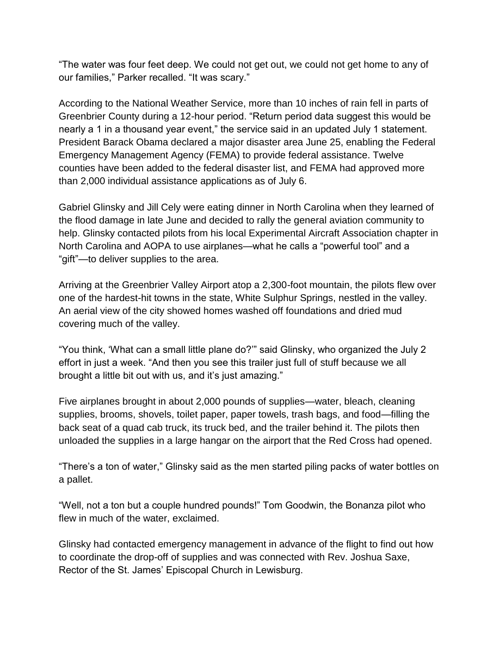"The water was four feet deep. We could not get out, we could not get home to any of our families," Parker recalled. "It was scary."

According to the National Weather Service, more than 10 inches of rain fell in parts of Greenbrier County during a 12-hour period. "Return period data suggest this would be nearly a 1 in a thousand year event," the service said in an updated July 1 statement. President Barack Obama declared a major disaster area June 25, enabling the Federal Emergency Management Agency (FEMA) to provide federal assistance. Twelve counties have been added to the federal disaster list, and FEMA had approved more than 2,000 individual assistance applications as of July 6.

Gabriel Glinsky and Jill Cely were eating dinner in North Carolina when they learned of the flood damage in late June and decided to rally the general aviation community to help. Glinsky contacted pilots from his local Experimental Aircraft Association chapter in North Carolina and AOPA to use airplanes—what he calls a "powerful tool" and a "gift"—to deliver supplies to the area.

Arriving at the Greenbrier Valley Airport atop a 2,300-foot mountain, the pilots flew over one of the hardest-hit towns in the state, White Sulphur Springs, nestled in the valley. An aerial view of the city showed homes washed off foundations and dried mud covering much of the valley.

"You think, 'What can a small little plane do?'" said Glinsky, who organized the July 2 effort in just a week. "And then you see this trailer just full of stuff because we all brought a little bit out with us, and it's just amazing."

Five airplanes brought in about 2,000 pounds of supplies—water, bleach, cleaning supplies, brooms, shovels, toilet paper, paper towels, trash bags, and food—filling the back seat of a quad cab truck, its truck bed, and the trailer behind it. The pilots then unloaded the supplies in a large hangar on the airport that the Red Cross had opened.

"There's a ton of water," Glinsky said as the men started piling packs of water bottles on a pallet.

"Well, not a ton but a couple hundred pounds!" Tom Goodwin, the Bonanza pilot who flew in much of the water, exclaimed.

Glinsky had contacted emergency management in advance of the flight to find out how to coordinate the drop-off of supplies and was connected with Rev. Joshua Saxe, Rector of the St. James' Episcopal Church in Lewisburg.